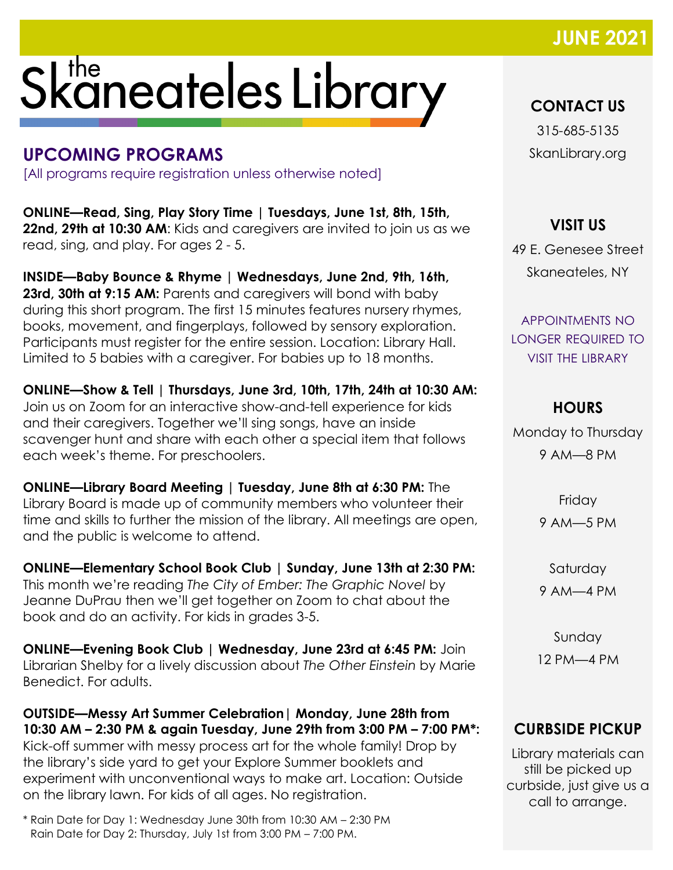### **JUNE 202**

# Skaneateles Library

#### **UPCOMING PROGRAMS**

[All programs require registration unless otherwise noted]

**ONLINE—Read, Sing, Play Story Time | Tuesdays, June 1st, 8th, 15th, 22nd, 29th at 10:30 AM:** Kids and caregivers are invited to join us as we read, sing, and play. For ages 2 - 5.

**INSIDE—Baby Bounce & Rhyme | Wednesdays, June 2nd, 9th, 16th,**  23rd, 30th at 9:15 AM: Parents and caregivers will bond with baby during this short program. The first 15 minutes features nursery rhymes, books, movement, and fingerplays, followed by sensory exploration. Participants must register for the entire session. Location: Library Hall. Limited to 5 babies with a caregiver. For babies up to 18 months.

**ONLINE—Show & Tell | Thursdays, June 3rd, 10th, 17th, 24th at 10:30 AM:**  Join us on Zoom for an interactive show-and-tell experience for kids and their caregivers. Together we'll sing songs, have an inside scavenger hunt and share with each other a special item that follows each week's theme. For preschoolers.

**ONLINE—Library Board Meeting | Tuesday, June 8th at 6:30 PM:** The Library Board is made up of community members who volunteer their time and skills to further the mission of the library. All meetings are open, and the public is welcome to attend.

**ONLINE—Elementary School Book Club | Sunday, June 13th at 2:30 PM:**  This month we're reading *The City of Ember: The Graphic Novel* by Jeanne DuPrau then we'll get together on Zoom to chat about the book and do an activity. For kids in grades 3-5.

**ONLINE—Evening Book Club | Wednesday, June 23rd at 6:45 PM:** Join Librarian Shelby for a lively discussion about *The Other Einstein* by Marie Benedict. For adults.

**OUTSIDE—Messy Art Summer Celebration| Monday, June 28th from 10:30 AM – 2:30 PM & again Tuesday, June 29th from 3:00 PM – 7:00 PM\*:**  Kick-off summer with messy process art for the whole family! Drop by the library's side yard to get your Explore Summer booklets and experiment with unconventional ways to make art. Location: Outside on the library lawn. For kids of all ages. No registration.

\* Rain Date for Day 1: Wednesday June 30th from 10:30 AM – 2:30 PM Rain Date for Day 2: Thursday, July 1st from 3:00 PM – 7:00 PM.

**CONTACT US**

315-685-5135 SkanLibrary.org

**VISIT US**

49 E. Genesee Street Skaneateles, NY

APPOINTMENTS NO LONGER REQUIRED TO VISIT THE LIBRARY

#### **HOURS**

Monday to Thursday 9 AM—8 PM

> Friday 9 AM—5 PM

Saturday 9 AM—4 PM

Sunday 12 PM—4 PM

#### **CURBSIDE PICKUP**

Library materials can still be picked up curbside, just give us a call to arrange.